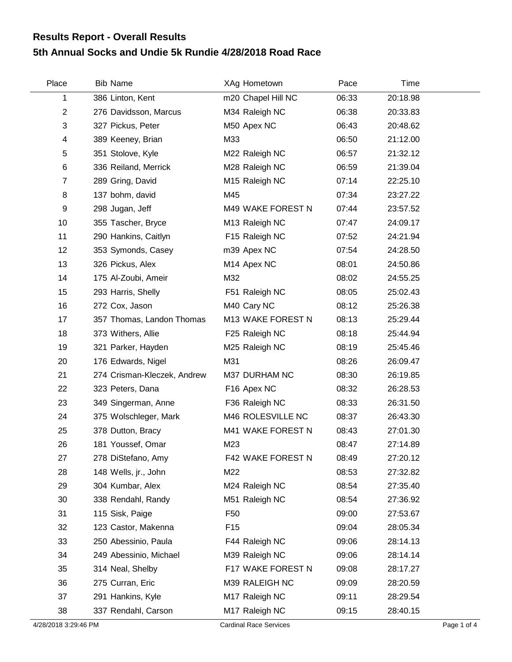## **5th Annual Socks and Undie 5k Rundie 4/28/2018 Road Race Results Report - Overall Results**

| Place          | <b>Bib Name</b>             | XAg Hometown            | Pace  | Time     |  |
|----------------|-----------------------------|-------------------------|-------|----------|--|
| 1              | 386 Linton, Kent            | m20 Chapel Hill NC      | 06:33 | 20:18.98 |  |
| $\overline{2}$ | 276 Davidsson, Marcus       | M34 Raleigh NC          | 06:38 | 20:33.83 |  |
| 3              | 327 Pickus, Peter           | M50 Apex NC             | 06:43 | 20:48.62 |  |
| 4              | 389 Keeney, Brian           | M33                     | 06:50 | 21:12.00 |  |
| 5              | 351 Stolove, Kyle           | M22 Raleigh NC          | 06:57 | 21:32.12 |  |
| 6              | 336 Reiland, Merrick        | M28 Raleigh NC          | 06:59 | 21:39.04 |  |
| $\overline{7}$ | 289 Gring, David            | M15 Raleigh NC          | 07:14 | 22:25.10 |  |
| 8              | 137 bohm, david             | M45                     | 07:34 | 23:27.22 |  |
| 9              | 298 Jugan, Jeff             | M49 WAKE FOREST N       | 07:44 | 23:57.52 |  |
| 10             | 355 Tascher, Bryce          | M13 Raleigh NC          | 07:47 | 24:09.17 |  |
| 11             | 290 Hankins, Caitlyn        | F15 Raleigh NC          | 07:52 | 24:21.94 |  |
| 12             | 353 Symonds, Casey          | m39 Apex NC             | 07:54 | 24:28.50 |  |
| 13             | 326 Pickus, Alex            | M14 Apex NC             | 08:01 | 24:50.86 |  |
| 14             | 175 Al-Zoubi, Ameir         | M32                     | 08:02 | 24:55.25 |  |
| 15             | 293 Harris, Shelly          | F51 Raleigh NC          | 08:05 | 25:02.43 |  |
| 16             | 272 Cox, Jason              | M40 Cary NC             | 08:12 | 25:26.38 |  |
| 17             | 357 Thomas, Landon Thomas   | M13 WAKE FOREST N       | 08:13 | 25:29.44 |  |
| 18             | 373 Withers, Allie          | F25 Raleigh NC          | 08:18 | 25:44.94 |  |
| 19             | 321 Parker, Hayden          | M25 Raleigh NC          | 08:19 | 25:45.46 |  |
| 20             | 176 Edwards, Nigel          | M31                     | 08:26 | 26:09.47 |  |
| 21             | 274 Crisman-Kleczek, Andrew | M37 DURHAM NC           | 08:30 | 26:19.85 |  |
| 22             | 323 Peters, Dana            | F <sub>16</sub> Apex NC | 08:32 | 26:28.53 |  |
| 23             | 349 Singerman, Anne         | F36 Raleigh NC          | 08:33 | 26:31.50 |  |
| 24             | 375 Wolschleger, Mark       | M46 ROLESVILLE NC       | 08:37 | 26:43.30 |  |
| 25             | 378 Dutton, Bracy           | M41 WAKE FOREST N       | 08:43 | 27:01.30 |  |
| 26             | 181 Youssef, Omar           | M23                     | 08:47 | 27:14.89 |  |
| 27             | 278 DiStefano, Amy          | F42 WAKE FOREST N       | 08:49 | 27:20.12 |  |
| 28             | 148 Wells, jr., John        | M22                     | 08:53 | 27:32.82 |  |
| 29             | 304 Kumbar, Alex            | M24 Raleigh NC          | 08:54 | 27:35.40 |  |
| 30             | 338 Rendahl, Randy          | M51 Raleigh NC          | 08:54 | 27:36.92 |  |
| 31             | 115 Sisk, Paige             | F <sub>50</sub>         | 09:00 | 27:53.67 |  |
| 32             | 123 Castor, Makenna         | F <sub>15</sub>         | 09:04 | 28:05.34 |  |
| 33             | 250 Abessinio, Paula        | F44 Raleigh NC          | 09:06 | 28:14.13 |  |
| 34             | 249 Abessinio, Michael      | M39 Raleigh NC          | 09:06 | 28:14.14 |  |
| 35             | 314 Neal, Shelby            | F17 WAKE FOREST N       | 09:08 | 28:17.27 |  |
| 36             | 275 Curran, Eric            | M39 RALEIGH NC          | 09:09 | 28:20.59 |  |
| 37             | 291 Hankins, Kyle           | M17 Raleigh NC          | 09:11 | 28:29.54 |  |
| 38             | 337 Rendahl, Carson         | M17 Raleigh NC          | 09:15 | 28:40.15 |  |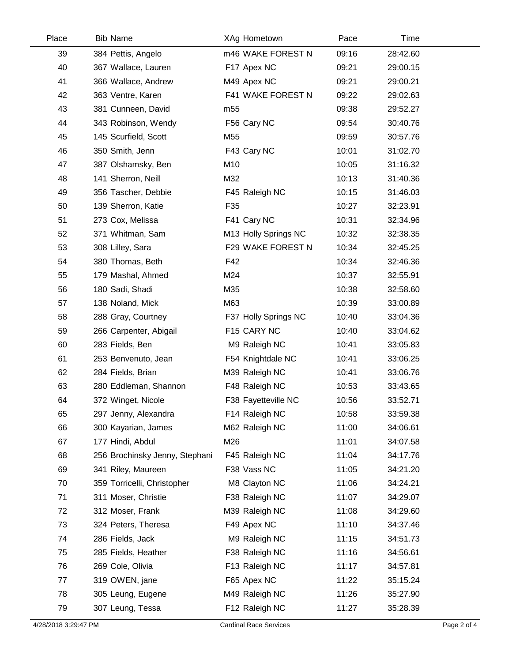| Place | <b>Bib Name</b>                | XAg Hometown         | Pace  | Time     |  |
|-------|--------------------------------|----------------------|-------|----------|--|
| 39    | 384 Pettis, Angelo             | m46 WAKE FOREST N    | 09:16 | 28:42.60 |  |
| 40    | 367 Wallace, Lauren            | F17 Apex NC          | 09:21 | 29:00.15 |  |
| 41    | 366 Wallace, Andrew            | M49 Apex NC          | 09:21 | 29:00.21 |  |
| 42    | 363 Ventre, Karen              | F41 WAKE FOREST N    | 09:22 | 29:02.63 |  |
| 43    | 381 Cunneen, David             | m <sub>55</sub>      | 09:38 | 29:52.27 |  |
| 44    | 343 Robinson, Wendy            | F56 Cary NC          | 09:54 | 30:40.76 |  |
| 45    | 145 Scurfield, Scott           | M55                  | 09:59 | 30:57.76 |  |
| 46    | 350 Smith, Jenn                | F43 Cary NC          | 10:01 | 31:02.70 |  |
| 47    | 387 Olshamsky, Ben             | M10                  | 10:05 | 31:16.32 |  |
| 48    | 141 Sherron, Neill             | M32                  | 10:13 | 31:40.36 |  |
| 49    | 356 Tascher, Debbie            | F45 Raleigh NC       | 10:15 | 31:46.03 |  |
| 50    | 139 Sherron, Katie             | F35                  | 10:27 | 32:23.91 |  |
| 51    | 273 Cox, Melissa               | F41 Cary NC          | 10:31 | 32:34.96 |  |
| 52    | 371 Whitman, Sam               | M13 Holly Springs NC | 10:32 | 32:38.35 |  |
| 53    | 308 Lilley, Sara               | F29 WAKE FOREST N    | 10:34 | 32:45.25 |  |
| 54    | 380 Thomas, Beth               | F42                  | 10:34 | 32:46.36 |  |
| 55    | 179 Mashal, Ahmed              | M24                  | 10:37 | 32:55.91 |  |
| 56    | 180 Sadi, Shadi                | M35                  | 10:38 | 32:58.60 |  |
| 57    | 138 Noland, Mick               | M63                  | 10:39 | 33:00.89 |  |
| 58    | 288 Gray, Courtney             | F37 Holly Springs NC | 10:40 | 33:04.36 |  |
| 59    | 266 Carpenter, Abigail         | F15 CARY NC          | 10:40 | 33:04.62 |  |
| 60    | 283 Fields, Ben                | M9 Raleigh NC        | 10:41 | 33:05.83 |  |
| 61    | 253 Benvenuto, Jean            | F54 Knightdale NC    | 10:41 | 33:06.25 |  |
| 62    | 284 Fields, Brian              | M39 Raleigh NC       | 10:41 | 33:06.76 |  |
| 63    | 280 Eddleman, Shannon          | F48 Raleigh NC       | 10:53 | 33:43.65 |  |
| 64    | 372 Winget, Nicole             | F38 Fayetteville NC  | 10:56 | 33:52.71 |  |
| 65    | 297 Jenny, Alexandra           | F14 Raleigh NC       | 10:58 | 33:59.38 |  |
| 66    | 300 Kayarian, James            | M62 Raleigh NC       | 11:00 | 34:06.61 |  |
| 67    | 177 Hindi, Abdul               | M26                  | 11:01 | 34:07.58 |  |
| 68    | 256 Brochinsky Jenny, Stephani | F45 Raleigh NC       | 11:04 | 34:17.76 |  |
| 69    | 341 Riley, Maureen             | F38 Vass NC          | 11:05 | 34:21.20 |  |
| 70    | 359 Torricelli, Christopher    | M8 Clayton NC        | 11:06 | 34:24.21 |  |
| 71    | 311 Moser, Christie            | F38 Raleigh NC       | 11:07 | 34:29.07 |  |
| 72    | 312 Moser, Frank               | M39 Raleigh NC       | 11:08 | 34:29.60 |  |
| 73    | 324 Peters, Theresa            | F49 Apex NC          | 11:10 | 34:37.46 |  |
| 74    | 286 Fields, Jack               | M9 Raleigh NC        | 11:15 | 34:51.73 |  |
| 75    | 285 Fields, Heather            | F38 Raleigh NC       | 11:16 | 34:56.61 |  |
| 76    | 269 Cole, Olivia               | F13 Raleigh NC       | 11:17 | 34:57.81 |  |
| 77    | 319 OWEN, jane                 | F65 Apex NC          | 11:22 | 35:15.24 |  |
| 78    | 305 Leung, Eugene              | M49 Raleigh NC       | 11:26 | 35:27.90 |  |
| 79    | 307 Leung, Tessa               | F12 Raleigh NC       | 11:27 | 35:28.39 |  |
|       |                                |                      |       |          |  |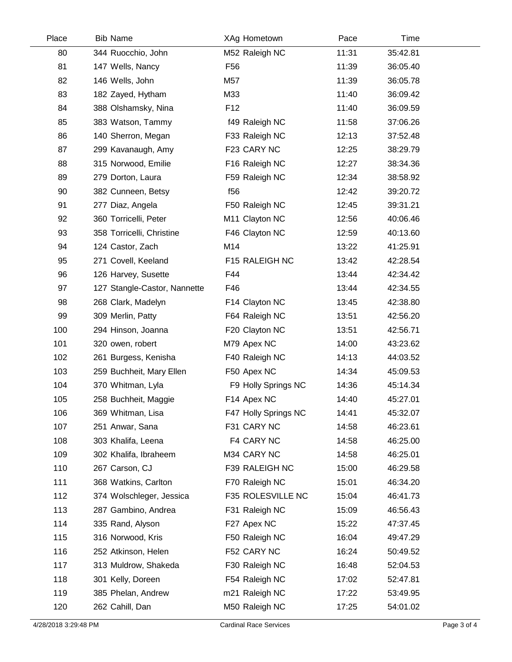| Place | <b>Bib Name</b>              | XAg Hometown         | Pace  | <b>Time</b> |  |
|-------|------------------------------|----------------------|-------|-------------|--|
| 80    | 344 Ruocchio, John           | M52 Raleigh NC       | 11:31 | 35:42.81    |  |
| 81    | 147 Wells, Nancy             | F <sub>56</sub>      | 11:39 | 36:05.40    |  |
| 82    | 146 Wells, John              | M57                  | 11:39 | 36:05.78    |  |
| 83    | 182 Zayed, Hytham            | M33                  | 11:40 | 36:09.42    |  |
| 84    | 388 Olshamsky, Nina          | F <sub>12</sub>      | 11:40 | 36:09.59    |  |
| 85    | 383 Watson, Tammy            | f49 Raleigh NC       | 11:58 | 37:06.26    |  |
| 86    | 140 Sherron, Megan           | F33 Raleigh NC       | 12:13 | 37:52.48    |  |
| 87    | 299 Kavanaugh, Amy           | F23 CARY NC          | 12:25 | 38:29.79    |  |
| 88    | 315 Norwood, Emilie          | F16 Raleigh NC       | 12:27 | 38:34.36    |  |
| 89    | 279 Dorton, Laura            | F59 Raleigh NC       | 12:34 | 38:58.92    |  |
| 90    | 382 Cunneen, Betsy           | f <sub>56</sub>      | 12:42 | 39:20.72    |  |
| 91    | 277 Diaz, Angela             | F50 Raleigh NC       | 12:45 | 39:31.21    |  |
| 92    | 360 Torricelli, Peter        | M11 Clayton NC       | 12:56 | 40:06.46    |  |
| 93    | 358 Torricelli, Christine    | F46 Clayton NC       | 12:59 | 40:13.60    |  |
| 94    | 124 Castor, Zach             | M14                  | 13:22 | 41:25.91    |  |
| 95    | 271 Covell, Keeland          | F15 RALEIGH NC       | 13:42 | 42:28.54    |  |
| 96    | 126 Harvey, Susette          | F44                  | 13:44 | 42:34.42    |  |
| 97    | 127 Stangle-Castor, Nannette | F46                  | 13:44 | 42:34.55    |  |
| 98    | 268 Clark, Madelyn           | F14 Clayton NC       | 13:45 | 42:38.80    |  |
| 99    | 309 Merlin, Patty            | F64 Raleigh NC       | 13:51 | 42:56.20    |  |
| 100   | 294 Hinson, Joanna           | F20 Clayton NC       | 13:51 | 42:56.71    |  |
| 101   | 320 owen, robert             | M79 Apex NC          | 14:00 | 43:23.62    |  |
| 102   | 261 Burgess, Kenisha         | F40 Raleigh NC       | 14:13 | 44:03.52    |  |
| 103   | 259 Buchheit, Mary Ellen     | F50 Apex NC          | 14:34 | 45:09.53    |  |
| 104   | 370 Whitman, Lyla            | F9 Holly Springs NC  | 14:36 | 45:14.34    |  |
| 105   | 258 Buchheit, Maggie         | F14 Apex NC          | 14:40 | 45:27.01    |  |
| 106   | 369 Whitman, Lisa            | F47 Holly Springs NC | 14:41 | 45:32.07    |  |
| 107   | 251 Anwar, Sana              | F31 CARY NC          | 14:58 | 46:23.61    |  |
| 108   | 303 Khalifa, Leena           | F4 CARY NC           | 14:58 | 46:25.00    |  |
| 109   | 302 Khalifa, Ibraheem        | M34 CARY NC          | 14:58 | 46:25.01    |  |
| 110   | 267 Carson, CJ               | F39 RALEIGH NC       | 15:00 | 46:29.58    |  |
| 111   | 368 Watkins, Carlton         | F70 Raleigh NC       | 15:01 | 46:34.20    |  |
| 112   | 374 Wolschleger, Jessica     | F35 ROLESVILLE NC    | 15:04 | 46:41.73    |  |
| 113   | 287 Gambino, Andrea          | F31 Raleigh NC       | 15:09 | 46:56.43    |  |
| 114   | 335 Rand, Alyson             | F27 Apex NC          | 15:22 | 47:37.45    |  |
| 115   | 316 Norwood, Kris            | F50 Raleigh NC       | 16:04 | 49:47.29    |  |
| 116   | 252 Atkinson, Helen          | F52 CARY NC          | 16:24 | 50:49.52    |  |
| 117   | 313 Muldrow, Shakeda         | F30 Raleigh NC       | 16:48 | 52:04.53    |  |
| 118   | 301 Kelly, Doreen            | F54 Raleigh NC       | 17:02 | 52:47.81    |  |
| 119   | 385 Phelan, Andrew           | m21 Raleigh NC       | 17:22 | 53:49.95    |  |
| 120   | 262 Cahill, Dan              | M50 Raleigh NC       | 17:25 | 54:01.02    |  |